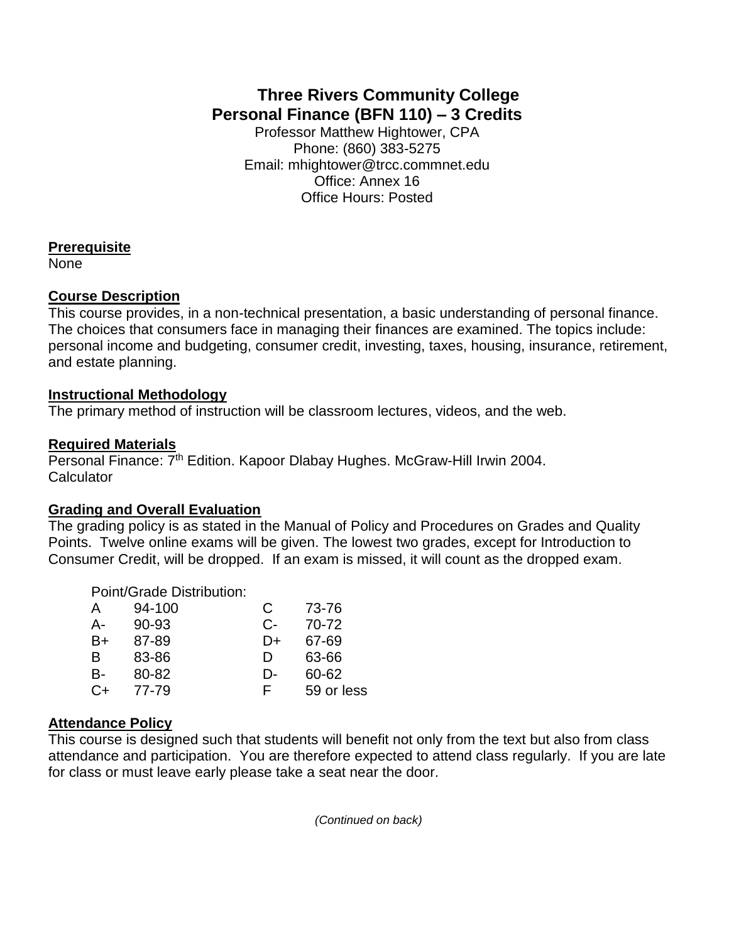# **Three Rivers Community College Personal Finance (BFN 110) – 3 Credits**

Professor Matthew Hightower, CPA Phone: (860) 383-5275 Email: mhightower@trcc.commnet.edu Office: Annex 16 Office Hours: Posted

#### **Prerequisite**

None

#### **Course Description**

This course provides, in a non-technical presentation, a basic understanding of personal finance. The choices that consumers face in managing their finances are examined. The topics include: personal income and budgeting, consumer credit, investing, taxes, housing, insurance, retirement, and estate planning.

# **Instructional Methodology**

The primary method of instruction will be classroom lectures, videos, and the web.

# **Required Materials**

Personal Finance: 7<sup>th</sup> Edition. Kapoor Dlabay Hughes. McGraw-Hill Irwin 2004. **Calculator** 

#### **Grading and Overall Evaluation**

The grading policy is as stated in the Manual of Policy and Procedures on Grades and Quality Points. Twelve online exams will be given. The lowest two grades, except for Introduction to Consumer Credit, will be dropped. If an exam is missed, it will count as the dropped exam.

# Point/Grade Distribution:

| A  | 94-100 | С  | 73-76      |
|----|--------|----|------------|
| А- | 90-93  | C- | 70-72      |
| B+ | 87-89  | D+ | 67-69      |
| B  | 83-86  | Ð  | 63-66      |
| В- | 80-82  | D- | 60-62      |
| C+ | 77-79  | F. | 59 or less |

# **Attendance Policy**

This course is designed such that students will benefit not only from the text but also from class attendance and participation. You are therefore expected to attend class regularly. If you are late for class or must leave early please take a seat near the door.

*(Continued on back)*